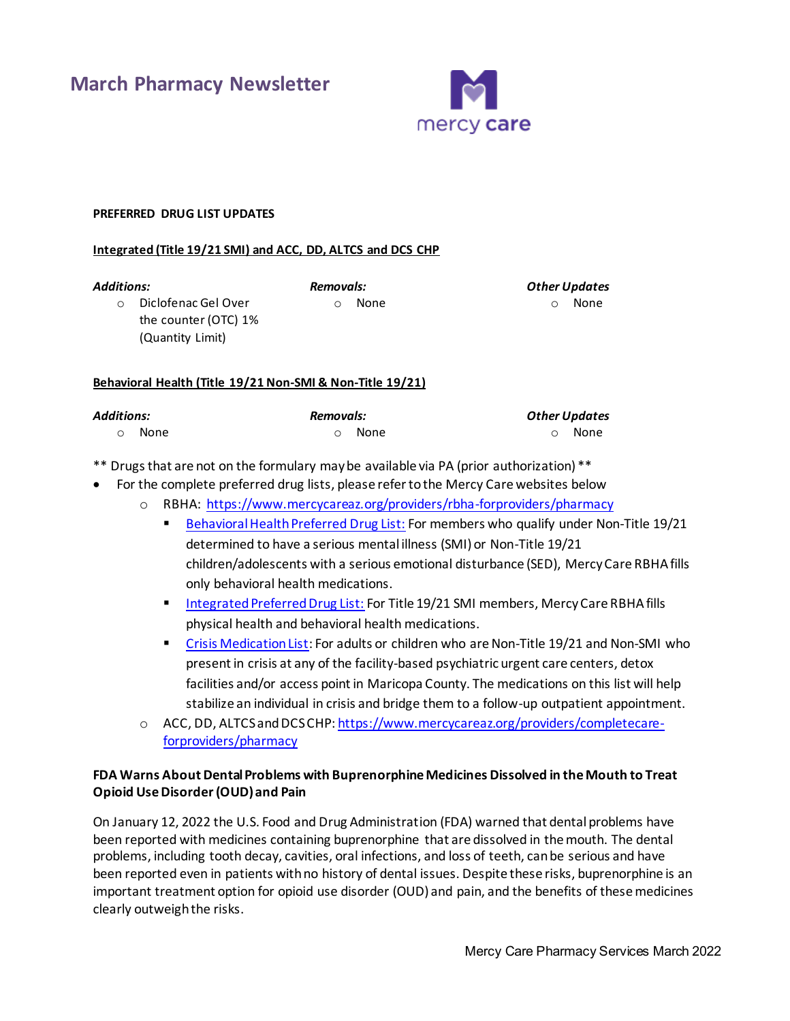

## **PREFERRED DRUG LIST UPDATES**

(Quantity Limit)

#### **Integrated (Title 19/21 SMI) and ACC, DD, ALTCS and DCS CHP**

*Additions:* 

o Diclofenac Gel Over the counter (OTC) 1%

o None

*Removals:* 

*Other Updates*  o None

## **Behavioral Health (Title 19/21 Non-SMI & Non-Title 19/21)**

| Additions: |               | Removals:     |  | <b>Other Updates</b> |  |
|------------|---------------|---------------|--|----------------------|--|
|            | റ <b>None</b> | റ <b>None</b> |  | റ <b>None</b>        |  |

\*\* Drugs that are not on the formulary may be available via PA (prior authorization) \*\*

- For the complete preferred drug lists, please refer to the Mercy Care websites below
	- o RBHA:<https://www.mercycareaz.org/providers/rbha-forproviders/pharmacy>
		- **[Behavioral Health Preferred Drug List:](https://www.mercycareaz.org/assets/pdf/rbha-members/pharmacy/Formulary%20PDLs/8822_MCY_RBHA_FORMULARY_2020.pdf) For members who qualify under Non-Title 19/21** determined to have a serious mental illness (SMI) or Non-Title 19/21 children/adolescents with a serious emotional disturbance (SED), Mercy Care RBHA fills only behavioral health medications.
		- [Integrated Preferred Drug List:](https://www.mercycareaz.org/assets/pdf/rbha-members/pharmacy/Formulary%20PDLs/8805-8822_MCY_FORMULARY_2020.pdf) For Title 19/21 SMI members, Mercy Care RBHA fills physical health and behavioral health medications.
		- **Example 2** [Crisis Medication List:](https://www.mercycareaz.org/assets/pdf/rbha-members/pharmacy/Formulary%20PDLs/Mercy%20Care%20Crisis%20Medication%20List_2020.pdf) For adults or children who are Non-Title 19/21 and Non-SMI who present in crisis at any of the facility-based psychiatric urgent care centers, detox facilities and/or access point in Maricopa County. The medications on this list will help stabilize an individual in crisis and bridge them to a follow-up outpatient appointment.
	- o ACC, DD, ALTCS and DCS CHP[: https://www.mercycareaz.org/providers/completecare](https://www.mercycareaz.org/providers/completecare-forproviders/pharmacy)[forproviders/pharmacy](https://www.mercycareaz.org/providers/completecare-forproviders/pharmacy)

# **FDA Warns About Dental Problems with Buprenorphine Medicines Dissolved in the Mouth to Treat Opioid Use Disorder (OUD) and Pain**

On January 12, 2022 the U.S. Food and Drug Administration (FDA) warned that dental problems have been reported with medicines containing buprenorphine that are dissolved in the mouth. The dental problems, including tooth decay, cavities, oral infections, and loss of teeth, can be serious and have been reported even in patients with no history of dental issues. Despite these risks, buprenorphine is an important treatment option for opioid use disorder (OUD) and pain, and the benefits of these medicines clearly outweigh the risks.